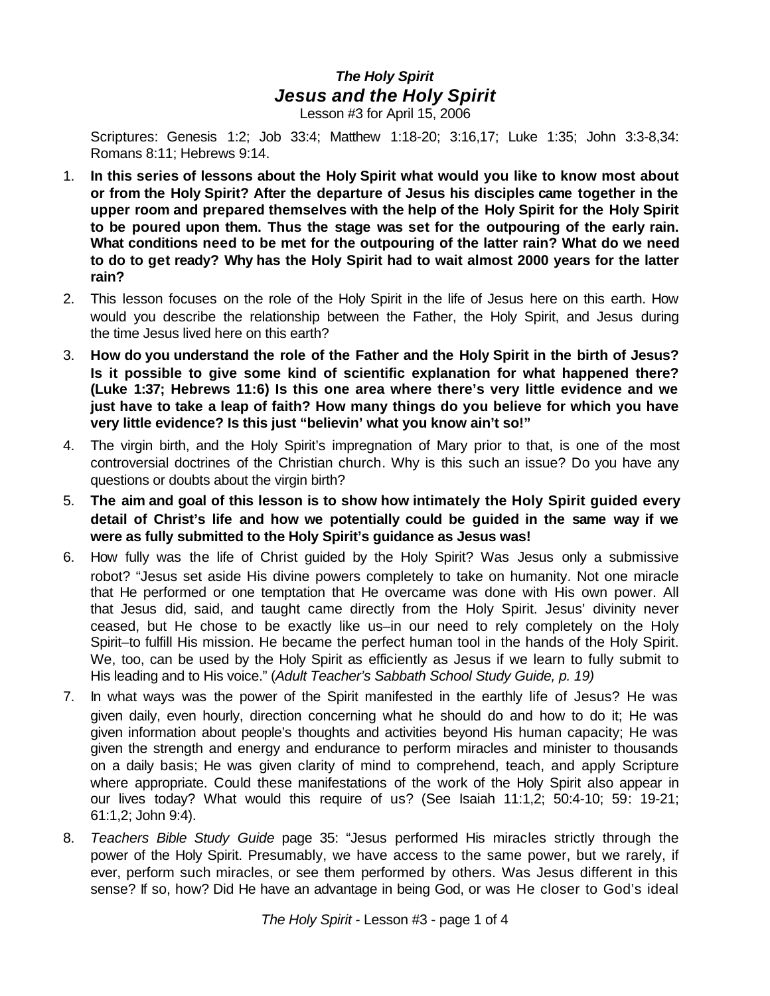## *The Holy Spirit Jesus and the Holy Spirit*

Lesson #3 for April 15, 2006

Scriptures: Genesis 1:2; Job 33:4; Matthew 1:18-20; 3:16,17; Luke 1:35; John 3:3-8,34: Romans 8:11; Hebrews 9:14.

- 1. **In this series of lessons about the Holy Spirit what would you like to know most about or from the Holy Spirit? After the departure of Jesus his disciples came together in the upper room and prepared themselves with the help of the Holy Spirit for the Holy Spirit to be poured upon them. Thus the stage was set for the outpouring of the early rain. What conditions need to be met for the outpouring of the latter rain? What do we need to do to get ready? Why has the Holy Spirit had to wait almost 2000 years for the latter rain?**
- 2. This lesson focuses on the role of the Holy Spirit in the life of Jesus here on this earth. How would you describe the relationship between the Father, the Holy Spirit, and Jesus during the time Jesus lived here on this earth?
- 3. **How do you understand the role of the Father and the Holy Spirit in the birth of Jesus? Is it possible to give some kind of scientific explanation for what happened there? (Luke 1:37; Hebrews 11:6) Is this one area where there's very little evidence and we just have to take a leap of faith? How many things do you believe for which you have very little evidence? Is this just "believin' what you know ain't so!"**
- 4. The virgin birth, and the Holy Spirit's impregnation of Mary prior to that, is one of the most controversial doctrines of the Christian church. Why is this such an issue? Do you have any questions or doubts about the virgin birth?
- 5. **The aim and goal of this lesson is to show how intimately the Holy Spirit guided every detail of Christ's life and how we potentially could be guided in the same way if we were as fully submitted to the Holy Spirit's guidance as Jesus was!**
- 6. How fully was the life of Christ guided by the Holy Spirit? Was Jesus only a submissive robot? "Jesus set aside His divine powers completely to take on humanity. Not one miracle that He performed or one temptation that He overcame was done with His own power. All that Jesus did, said, and taught came directly from the Holy Spirit. Jesus' divinity never ceased, but He chose to be exactly like us–in our need to rely completely on the Holy Spirit–to fulfill His mission. He became the perfect human tool in the hands of the Holy Spirit. We, too, can be used by the Holy Spirit as efficiently as Jesus if we learn to fully submit to His leading and to His voice." (*Adult Teacher's Sabbath School Study Guide, p. 19)*
- 7. In what ways was the power of the Spirit manifested in the earthly life of Jesus? He was given daily, even hourly, direction concerning what he should do and how to do it; He was given information about people's thoughts and activities beyond His human capacity; He was given the strength and energy and endurance to perform miracles and minister to thousands on a daily basis; He was given clarity of mind to comprehend, teach, and apply Scripture where appropriate. Could these manifestations of the work of the Holy Spirit also appear in our lives today? What would this require of us? (See Isaiah 11:1,2; 50:4-10; 59: 19-21; 61:1,2; John 9:4).
- 8. *Teachers Bible Study Guide* page 35: "Jesus performed His miracles strictly through the power of the Holy Spirit. Presumably, we have access to the same power, but we rarely, if ever, perform such miracles, or see them performed by others. Was Jesus different in this sense? If so, how? Did He have an advantage in being God, or was He closer to God's ideal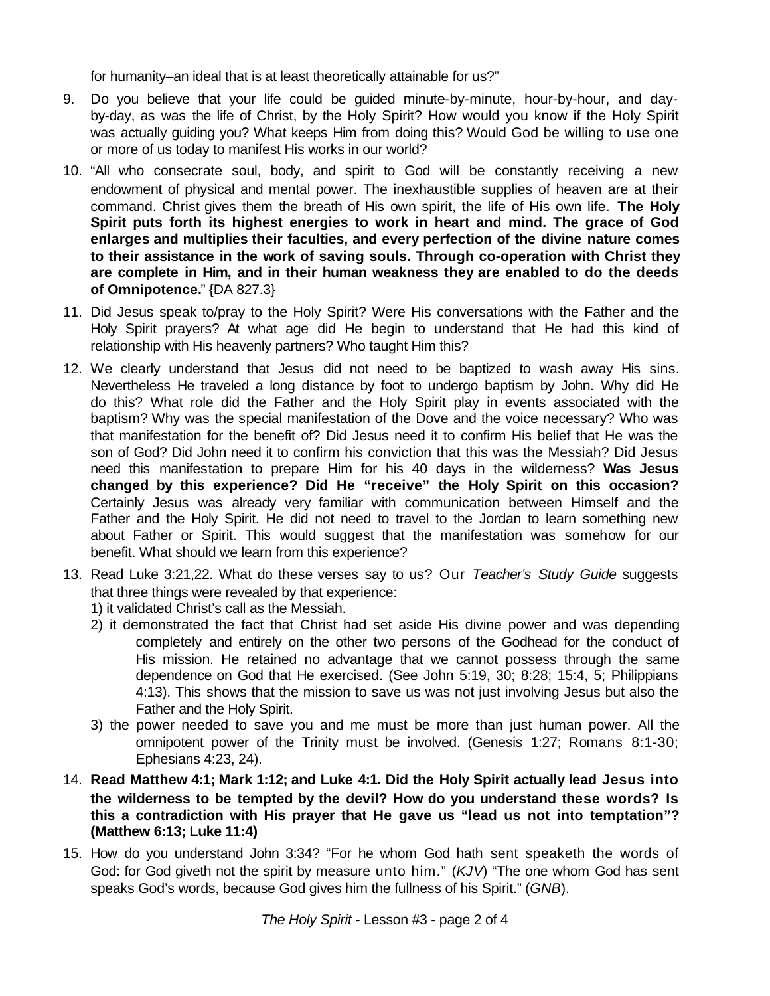for humanity–an ideal that is at least theoretically attainable for us?"

- 9. Do you believe that your life could be guided minute-by-minute, hour-by-hour, and dayby-day, as was the life of Christ, by the Holy Spirit? How would you know if the Holy Spirit was actually guiding you? What keeps Him from doing this? Would God be willing to use one or more of us today to manifest His works in our world?
- 10. "All who consecrate soul, body, and spirit to God will be constantly receiving a new endowment of physical and mental power. The inexhaustible supplies of heaven are at their command. Christ gives them the breath of His own spirit, the life of His own life. **The Holy Spirit puts forth its highest energies to work in heart and mind. The grace of God enlarges and multiplies their faculties, and every perfection of the divine nature comes to their assistance in the work of saving souls. Through co-operation with Christ they are complete in Him, and in their human weakness they are enabled to do the deeds of Omnipotence.**" {DA 827.3}
- 11. Did Jesus speak to/pray to the Holy Spirit? Were His conversations with the Father and the Holy Spirit prayers? At what age did He begin to understand that He had this kind of relationship with His heavenly partners? Who taught Him this?
- 12. We clearly understand that Jesus did not need to be baptized to wash away His sins. Nevertheless He traveled a long distance by foot to undergo baptism by John. Why did He do this? What role did the Father and the Holy Spirit play in events associated with the baptism? Why was the special manifestation of the Dove and the voice necessary? Who was that manifestation for the benefit of? Did Jesus need it to confirm His belief that He was the son of God? Did John need it to confirm his conviction that this was the Messiah? Did Jesus need this manifestation to prepare Him for his 40 days in the wilderness? **Was Jesus changed by this experience? Did He "receive" the Holy Spirit on this occasion?** Certainly Jesus was already very familiar with communication between Himself and the Father and the Holy Spirit. He did not need to travel to the Jordan to learn something new about Father or Spirit. This would suggest that the manifestation was somehow for our benefit. What should we learn from this experience?
- 13. Read Luke 3:21,22. What do these verses say to us? Our *Teacher's Study Guide* suggests that three things were revealed by that experience:
	- 1) it validated Christ's call as the Messiah.
	- 2) it demonstrated the fact that Christ had set aside His divine power and was depending completely and entirely on the other two persons of the Godhead for the conduct of His mission. He retained no advantage that we cannot possess through the same dependence on God that He exercised. (See John 5:19, 30; 8:28; 15:4, 5; Philippians 4:13). This shows that the mission to save us was not just involving Jesus but also the Father and the Holy Spirit.
	- 3) the power needed to save you and me must be more than just human power. All the omnipotent power of the Trinity must be involved. (Genesis 1:27; Romans 8:1-30; Ephesians 4:23, 24).
- 14. **Read Matthew 4:1; Mark 1:12; and Luke 4:1. Did the Holy Spirit actually lead Jesus into the wilderness to be tempted by the devil? How do you understand these words? Is this a contradiction with His prayer that He gave us "lead us not into temptation"? (Matthew 6:13; Luke 11:4)**
- 15. How do you understand John 3:34? "For he whom God hath sent speaketh the words of God: for God giveth not the spirit by measure unto him." (*KJV*) "The one whom God has sent speaks God's words, because God gives him the fullness of his Spirit." (*GNB*).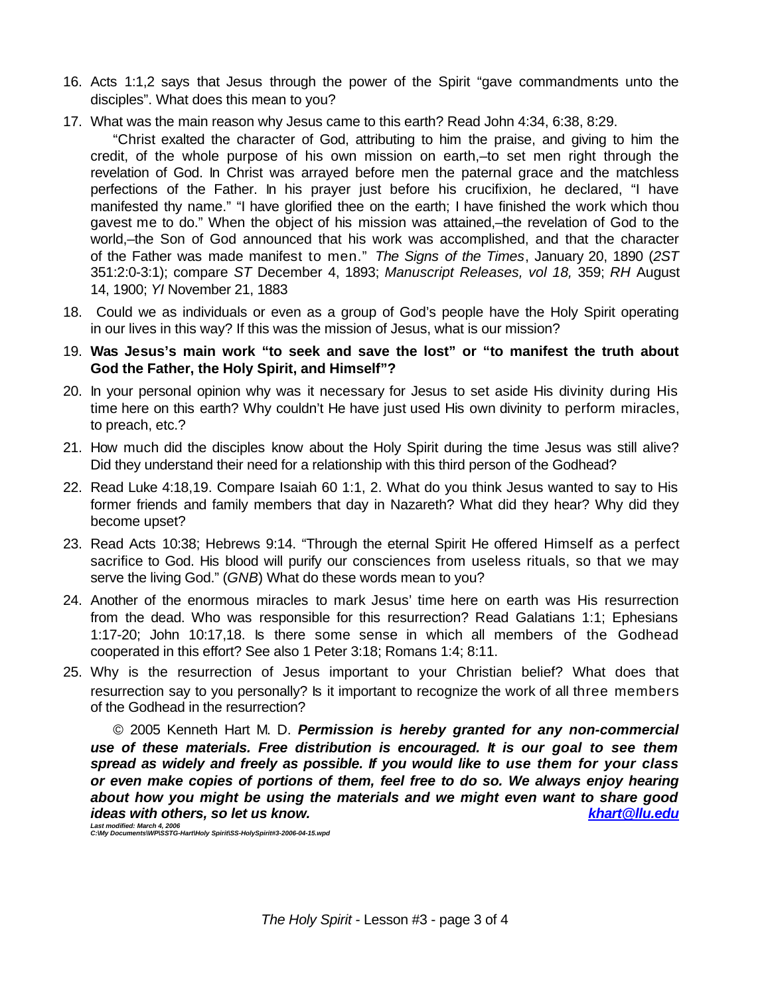- 16. Acts 1:1,2 says that Jesus through the power of the Spirit "gave commandments unto the disciples". What does this mean to you?
- 17. What was the main reason why Jesus came to this earth? Read John 4:34, 6:38, 8:29.

"Christ exalted the character of God, attributing to him the praise, and giving to him the credit, of the whole purpose of his own mission on earth,–to set men right through the revelation of God. In Christ was arrayed before men the paternal grace and the matchless perfections of the Father. In his prayer just before his crucifixion, he declared, "I have manifested thy name." "I have glorified thee on the earth; I have finished the work which thou gavest me to do." When the object of his mission was attained,–the revelation of God to the world,–the Son of God announced that his work was accomplished, and that the character of the Father was made manifest to men." *The Signs of the Times*, January 20, 1890 (*2ST* 351:2:0-3:1); compare *ST* December 4, 1893; *Manuscript Releases, vol 18,* 359; *RH* August 14, 1900; *YI* November 21, 1883

18. Could we as individuals or even as a group of God's people have the Holy Spirit operating in our lives in this way? If this was the mission of Jesus, what is our mission?

19. **Was Jesus's main work "to seek and save the lost" or "to manifest the truth about God the Father, the Holy Spirit, and Himself"?**

- 20. In your personal opinion why was it necessary for Jesus to set aside His divinity during His time here on this earth? Why couldn't He have just used His own divinity to perform miracles, to preach, etc.?
- 21. How much did the disciples know about the Holy Spirit during the time Jesus was still alive? Did they understand their need for a relationship with this third person of the Godhead?
- 22. Read Luke 4:18,19. Compare Isaiah 60 1:1, 2. What do you think Jesus wanted to say to His former friends and family members that day in Nazareth? What did they hear? Why did they become upset?
- 23. Read Acts 10:38; Hebrews 9:14. "Through the eternal Spirit He offered Himself as a perfect sacrifice to God. His blood will purify our consciences from useless rituals, so that we may serve the living God." (*GNB*) What do these words mean to you?
- 24. Another of the enormous miracles to mark Jesus' time here on earth was His resurrection from the dead. Who was responsible for this resurrection? Read Galatians 1:1; Ephesians 1:17-20; John 10:17,18. Is there some sense in which all members of the Godhead cooperated in this effort? See also 1 Peter 3:18; Romans 1:4; 8:11.
- 25. Why is the resurrection of Jesus important to your Christian belief? What does that resurrection say to you personally? Is it important to recognize the work of all three members of the Godhead in the resurrection?

© 2005 Kenneth Hart M. D. *Permission is hereby granted for any non-commercial use of these materials. Free distribution is encouraged. It is our goal to see them spread as widely and freely as possible. If you would like to use them for your class or even make copies of portions of them, feel free to do so. We always enjoy hearing about how you might be using the materials and we might even want to share good ideas with others, so let us know. khart@llu.edu*

*Last modified: March 4, 2006 C:\My Documents\WP\SSTG-Hart\Holy Spirit\SS-HolySpirit#3-2006-04-15.wpd*